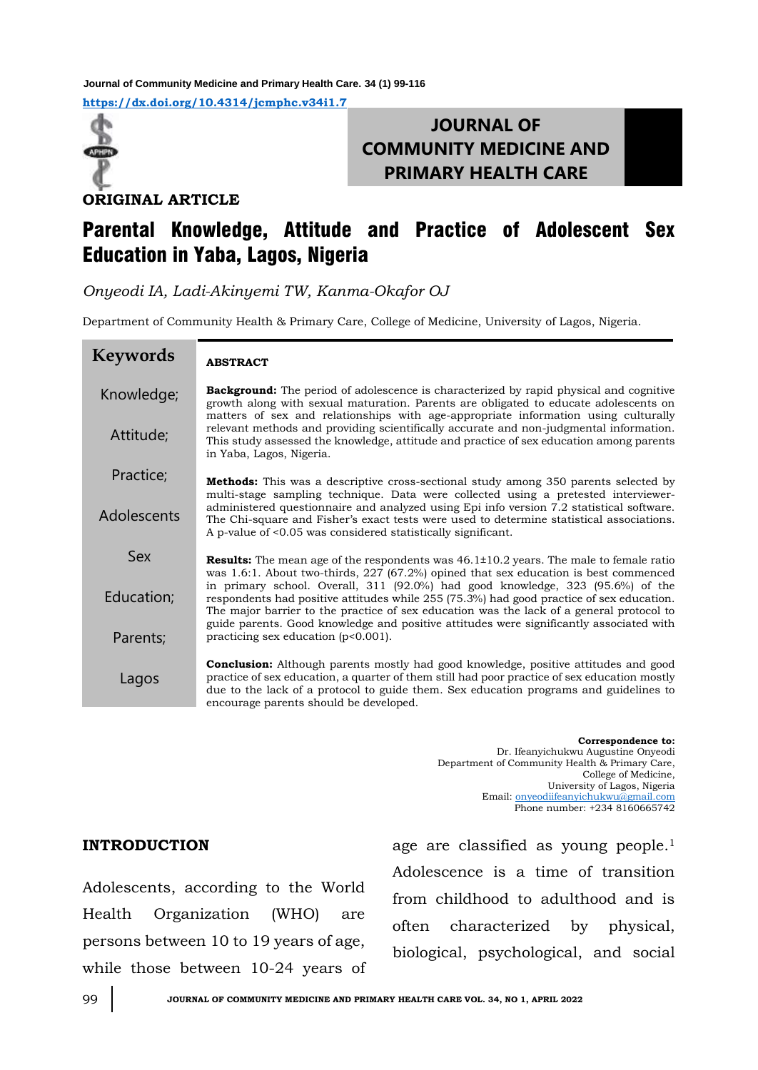**<https://dx.doi.org/10.4314/jcmphc.v34i1.7> Journal of Community Medicine and Primary Health Care. 34 (1) 99-116**



# **JOURNAL OF COMMUNITY MEDICINE AND PRIMARY HEALTH CARE**

**ORIGINAL ARTICLE**

# Parental Knowledge, Attitude and Practice of Adolescent Sex Education in Yaba, Lagos, Nigeria

*Onyeodi IA, Ladi-Akinyemi TW, Kanma-Okafor OJ*

Department of Community Health & Primary Care, College of Medicine, University of Lagos, Nigeria.

| <b>Keywords</b> | <b>ABSTRACT</b>                                                                                                                                                                                                                                                                                                               |
|-----------------|-------------------------------------------------------------------------------------------------------------------------------------------------------------------------------------------------------------------------------------------------------------------------------------------------------------------------------|
| Knowledge;      | <b>Background:</b> The period of adolescence is characterized by rapid physical and cognitive<br>growth along with sexual maturation. Parents are obligated to educate adolescents on<br>matters of sex and relationships with age-appropriate information using culturally                                                   |
| Attitude;       | relevant methods and providing scientifically accurate and non-judgmental information.<br>This study assessed the knowledge, attitude and practice of sex education among parents<br>in Yaba, Lagos, Nigeria.                                                                                                                 |
| Practice;       | <b>Methods:</b> This was a descriptive cross-sectional study among 350 parents selected by<br>multi-stage sampling technique. Data were collected using a pretested interviewer-                                                                                                                                              |
| Adolescents     | administered questionnaire and analyzed using Epi info version 7.2 statistical software.<br>The Chi-square and Fisher's exact tests were used to determine statistical associations.<br>A p-value of <0.05 was considered statistically significant.                                                                          |
| Sex             | <b>Results:</b> The mean age of the respondents was $46.1 \pm 10.2$ years. The male to female ratio<br>was 1.6:1. About two-thirds, $227$ (67.2%) opined that sex education is best commenced                                                                                                                                 |
| Education;      | in primary school. Overall, $311$ (92.0%) had good knowledge, $323$ (95.6%) of the<br>respondents had positive attitudes while 255 (75.3%) had good practice of sex education.<br>The major barrier to the practice of sex education was the lack of a general protocol to                                                    |
| Parents;        | guide parents. Good knowledge and positive attitudes were significantly associated with<br>practicing sex education $(p<0.001)$ .                                                                                                                                                                                             |
| Lagos           | <b>Conclusion:</b> Although parents mostly had good knowledge, positive attitudes and good<br>practice of sex education, a quarter of them still had poor practice of sex education mostly<br>due to the lack of a protocol to guide them. Sex education programs and guidelines to<br>encourage parents should be developed. |

**Correspondence to:**  Dr. Ifeanyichukwu Augustine Onyeodi Department of Community Health & Primary Care, College of Medicine, University of Lagos, Nigeria Email: [onyeodiifeanyichukwu@gmail.com](mailto:onyeodiifeanyichukwu@gmail.com) Phone number: +234 8160665742

## **INTRODUCTION**

Adolescents, according to the World Health Organization (WHO) are persons between 10 to 19 years of age, while those between 10-24 years of age are classified as young people.<sup>1</sup> Adolescence is a time of transition from childhood to adulthood and is often characterized by physical, biological, psychological, and social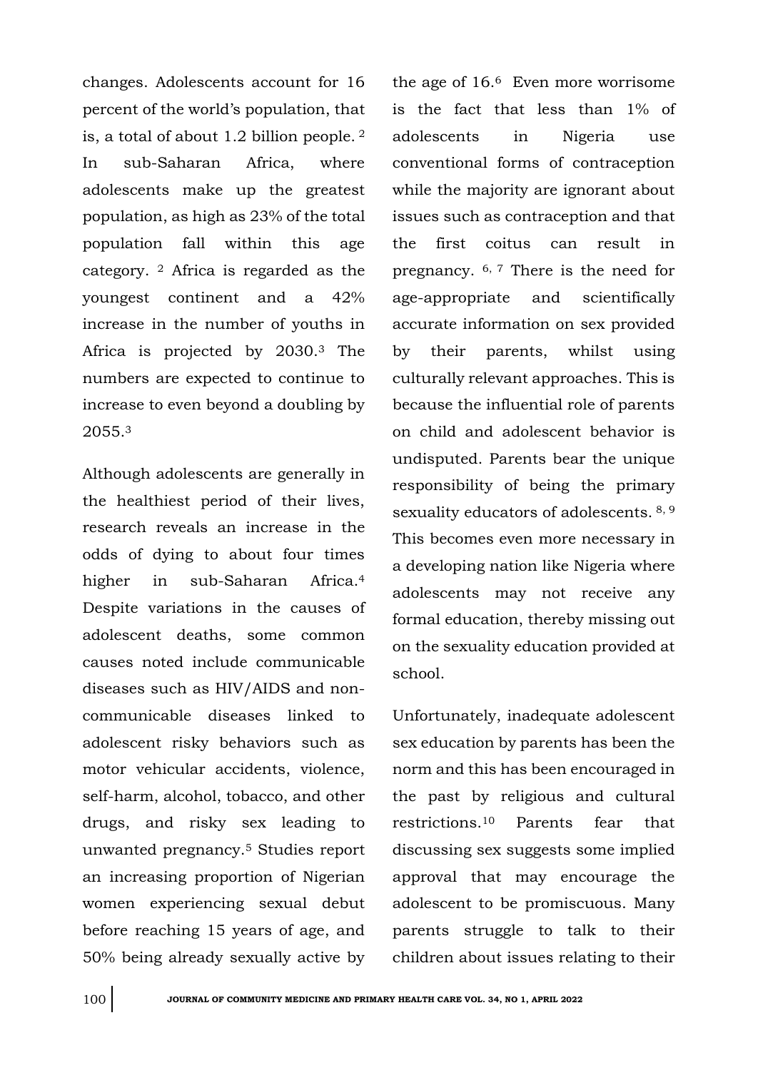changes. Adolescents account for 16 percent of the world's population, that is, a total of about 1.2 billion people. <sup>2</sup> In sub-Saharan Africa, where adolescents make up the greatest population, as high as 23% of the total population fall within this age category. <sup>2</sup> Africa is regarded as the youngest continent and a 42% increase in the number of youths in Africa is projected by 2030.<sup>3</sup> The numbers are expected to continue to increase to even beyond a doubling by 2055.<sup>3</sup>

Although adolescents are generally in the healthiest period of their lives, research reveals an increase in the odds of dying to about four times higher in sub-Saharan Africa.<sup>4</sup> Despite variations in the causes of adolescent deaths, some common causes noted include communicable diseases such as HIV/AIDS and noncommunicable diseases linked to adolescent risky behaviors such as motor vehicular accidents, violence, self-harm, alcohol, tobacco, and other drugs, and risky sex leading to unwanted pregnancy.<sup>5</sup> Studies report an increasing proportion of Nigerian women experiencing sexual debut before reaching 15 years of age, and 50% being already sexually active by the age of 16.6 Even more worrisome is the fact that less than 1% of adolescents in Nigeria use conventional forms of contraception while the majority are ignorant about issues such as contraception and that the first coitus can result in pregnancy.  $6, 7$  There is the need for age-appropriate and scientifically accurate information on sex provided by their parents, whilst using culturally relevant approaches. This is because the influential role of parents on child and adolescent behavior is undisputed. Parents bear the unique responsibility of being the primary sexuality educators of adolescents. 8, 9 This becomes even more necessary in a developing nation like Nigeria where adolescents may not receive any formal education, thereby missing out on the sexuality education provided at school.

Unfortunately, inadequate adolescent sex education by parents has been the norm and this has been encouraged in the past by religious and cultural restrictions.<sup>10</sup> Parents fear that discussing sex suggests some implied approval that may encourage the adolescent to be promiscuous. Many parents struggle to talk to their children about issues relating to their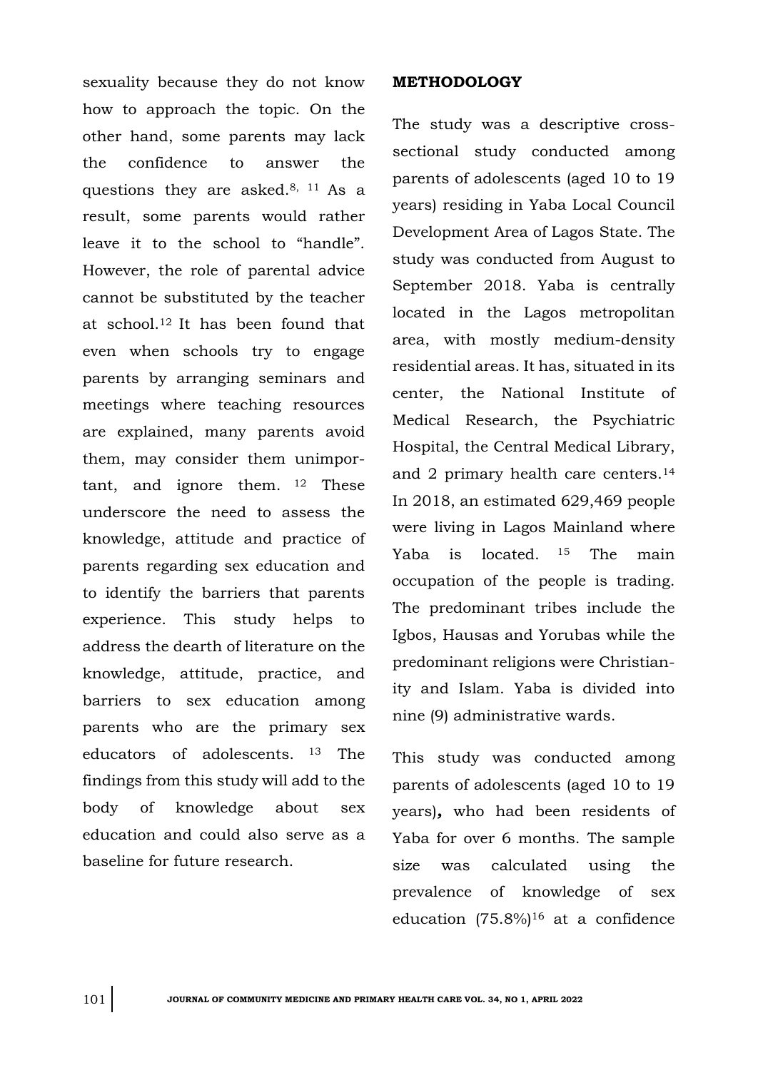sexuality because they do not know how to approach the topic. On the other hand, some parents may lack the confidence to answer the questions they are asked.8, 11 As a result, some parents would rather leave it to the school to "handle". However, the role of parental advice cannot be substituted by the teacher at school.12 It has been found that even when schools try to engage parents by arranging seminars and meetings where teaching resources are explained, many parents avoid them, may consider them unimportant, and ignore them. <sup>12</sup> These underscore the need to assess the knowledge, attitude and practice of parents regarding sex education and to identify the barriers that parents experience. This study helps to address the dearth of literature on the knowledge, attitude, practice, and barriers to sex education among parents who are the primary sex educators of adolescents. <sup>13</sup> The findings from this study will add to the body of knowledge about sex education and could also serve as a baseline for future research.

### **METHODOLOGY**

The study was a descriptive crosssectional study conducted among parents of adolescents (aged 10 to 19 years) residing in Yaba Local Council Development Area of Lagos State. The study was conducted from August to September 2018. Yaba is centrally located in the Lagos metropolitan area, with mostly medium-density residential areas. It has, situated in its center, the National Institute of Medical Research, the Psychiatric Hospital, the Central Medical Library, and 2 primary health care centers.<sup>14</sup> In 2018, an estimated 629,469 people were living in Lagos Mainland where Yaba is located. <sup>15</sup> The main occupation of the people is trading. The predominant tribes include the Igbos, Hausas and Yorubas while the predominant religions were Christianity and Islam. Yaba is divided into nine (9) administrative wards.

This study was conducted among parents of adolescents (aged 10 to 19 years)*,* who had been residents of Yaba for over 6 months. The sample size was calculated using the prevalence of knowledge of sex education  $(75.8\%)^{16}$  at a confidence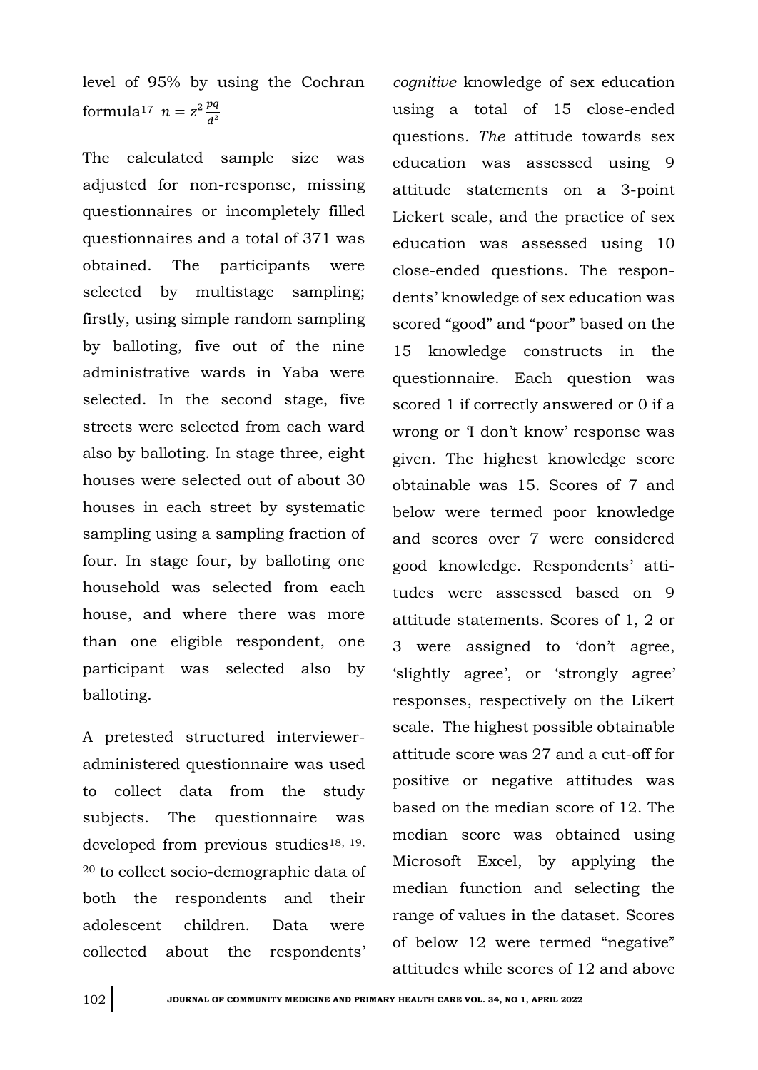level of 95% by using the Cochran formula<sup>17</sup>  $n = z^2 \frac{pq}{d^2}$  $d^2$ 

The calculated sample size was adjusted for non-response, missing questionnaires or incompletely filled questionnaires and a total of 371 was obtained. The participants were selected by multistage sampling; firstly, using simple random sampling by balloting, five out of the nine administrative wards in Yaba were selected. In the second stage, five streets were selected from each ward also by balloting. In stage three, eight houses were selected out of about 30 houses in each street by systematic sampling using a sampling fraction of four. In stage four, by balloting one household was selected from each house, and where there was more than one eligible respondent, one participant was selected also by balloting.

A pretested structured intervieweradministered questionnaire was used to collect data from the study subjects. The questionnaire was developed from previous studies<sup>18, 19,</sup> <sup>20</sup> to collect socio-demographic data of both the respondents and their adolescent children. Data were collected about the respondents'

*cognitive* knowledge of sex education using a total of 15 close-ended questions*. The* attitude towards sex education was assessed using 9 attitude statements on a 3-point Lickert scale, and the practice of sex education was assessed using 10 close-ended questions. The respondents' knowledge of sex education was scored "good" and "poor" based on the 15 knowledge constructs in the questionnaire. Each question was scored 1 if correctly answered or 0 if a wrong or 'I don't know' response was given. The highest knowledge score obtainable was 15. Scores of 7 and below were termed poor knowledge and scores over 7 were considered good knowledge. Respondents' attitudes were assessed based on 9 attitude statements. Scores of 1, 2 or 3 were assigned to 'don't agree, 'slightly agree', or 'strongly agree' responses, respectively on the Likert scale. The highest possible obtainable attitude score was 27 and a cut-off for positive or negative attitudes was based on the median score of 12. The median score was obtained using Microsoft Excel, by applying the median function and selecting the range of values in the dataset. Scores of below 12 were termed "negative" attitudes while scores of 12 and above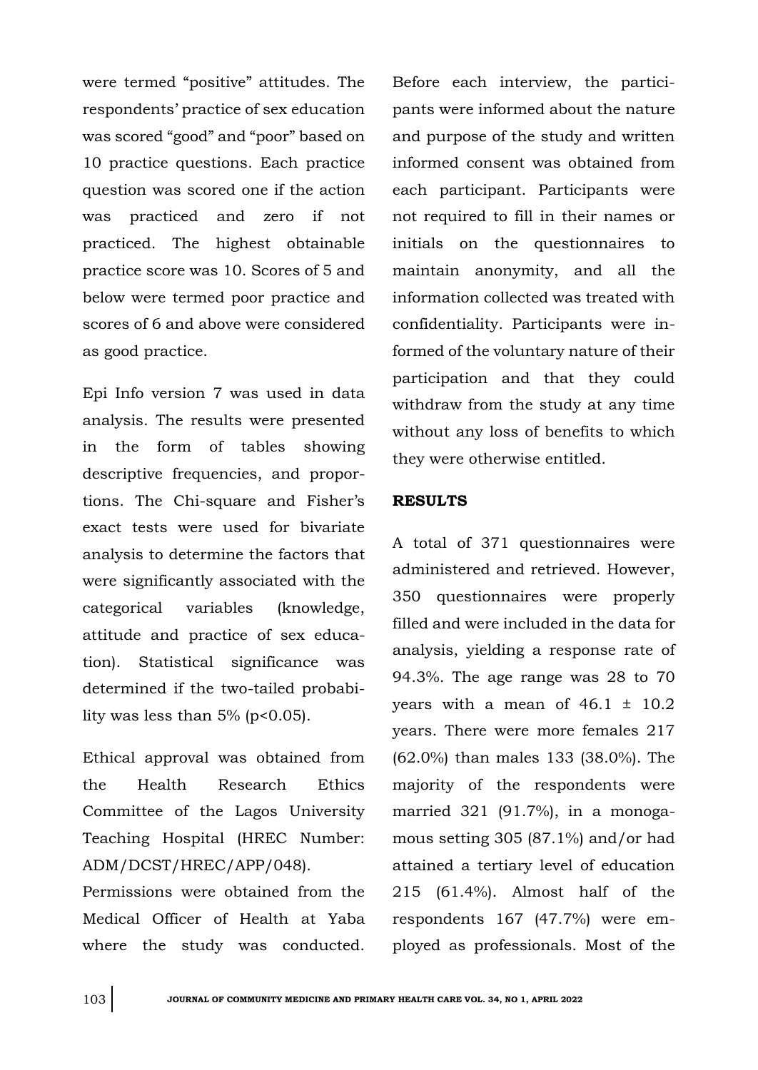were termed "positive" attitudes. The respondents' practice of sex education was scored "good" and "poor" based on 10 practice questions. Each practice question was scored one if the action was practiced and zero if not practiced. The highest obtainable practice score was 10. Scores of 5 and below were termed poor practice and scores of 6 and above were considered as good practice.

Epi Info version 7 was used in data analysis. The results were presented in the form of tables showing descriptive frequencies, and proportions. The Chi-square and Fisher's exact tests were used for bivariate analysis to determine the factors that were significantly associated with the categorical variables (knowledge, attitude and practice of sex education). Statistical significance was determined if the two-tailed probability was less than  $5\%$  (p<0.05).

Ethical approval was obtained from the Health Research Ethics Committee of the Lagos University Teaching Hospital (HREC Number: ADM/DCST/HREC/APP/048).

Permissions were obtained from the Medical Officer of Health at Yaba where the study was conducted.

Before each interview, the participants were informed about the nature and purpose of the study and written informed consent was obtained from each participant. Participants were not required to fill in their names or initials on the questionnaires to maintain anonymity, and all the information collected was treated with confidentiality. Participants were informed of the voluntary nature of their participation and that they could withdraw from the study at any time without any loss of benefits to which they were otherwise entitled.

## **RESULTS**

A total of 371 questionnaires were administered and retrieved. However, 350 questionnaires were properly filled and were included in the data for analysis, yielding a response rate of 94.3%. The age range was 28 to 70 years with a mean of  $46.1 \pm 10.2$ years. There were more females 217 (62.0%) than males 133 (38.0%). The majority of the respondents were married 321 (91.7%), in a monogamous setting 305 (87.1%) and/or had attained a tertiary level of education 215 (61.4%). Almost half of the respondents 167 (47.7%) were employed as professionals. Most of the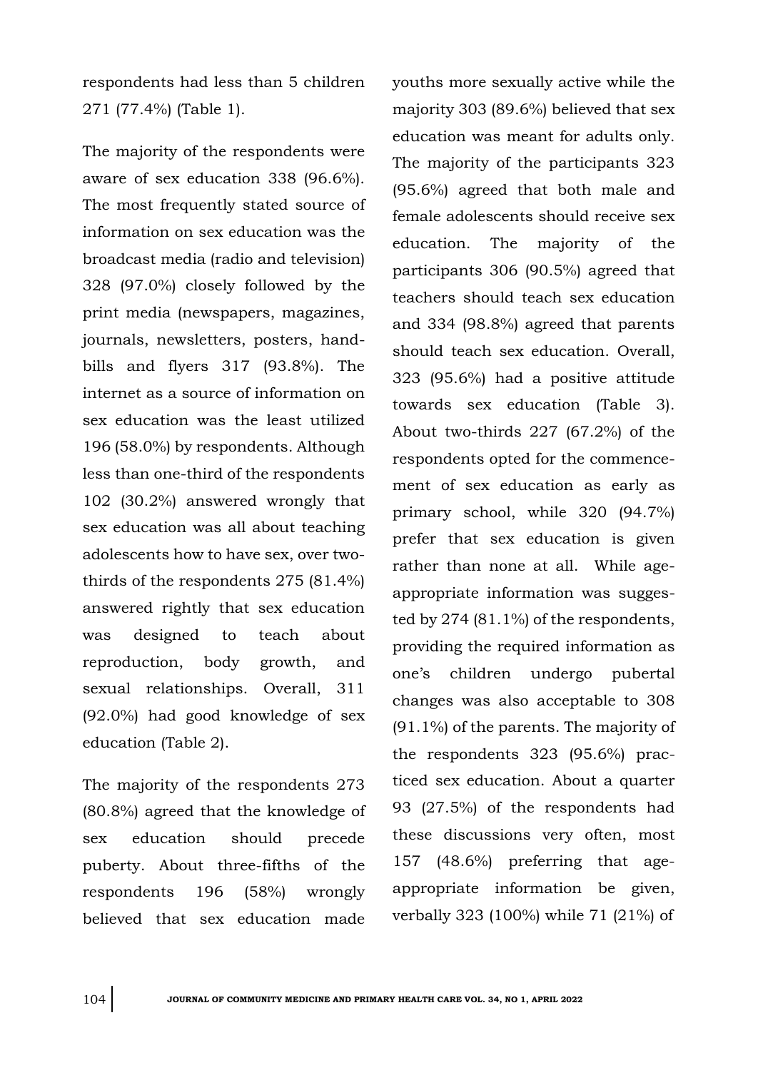respondents had less than 5 children 271 (77.4%) (Table 1).

The majority of the respondents were aware of sex education 338 (96.6%). The most frequently stated source of information on sex education was the broadcast media (radio and television) 328 (97.0%) closely followed by the print media (newspapers, magazines, journals, newsletters, posters, handbills and flyers 317 (93.8%). The internet as a source of information on sex education was the least utilized 196 (58.0%) by respondents. Although less than one-third of the respondents 102 (30.2%) answered wrongly that sex education was all about teaching adolescents how to have sex, over twothirds of the respondents 275 (81.4%) answered rightly that sex education was designed to teach about reproduction, body growth, and sexual relationships. Overall, 311 (92.0%) had good knowledge of sex education (Table 2).

The majority of the respondents 273 (80.8%) agreed that the knowledge of sex education should precede puberty. About three-fifths of the respondents 196 (58%) wrongly believed that sex education made

youths more sexually active while the majority 303 (89.6%) believed that sex education was meant for adults only. The majority of the participants 323 (95.6%) agreed that both male and female adolescents should receive sex education. The majority of the participants 306 (90.5%) agreed that teachers should teach sex education and 334 (98.8%) agreed that parents should teach sex education. Overall, 323 (95.6%) had a positive attitude towards sex education (Table 3). About two-thirds 227 (67.2%) of the respondents opted for the commencement of sex education as early as primary school, while 320 (94.7%) prefer that sex education is given rather than none at all. While ageappropriate information was suggested by 274 (81.1%) of the respondents, providing the required information as one's children undergo pubertal changes was also acceptable to 308 (91.1%) of the parents. The majority of the respondents 323 (95.6%) practiced sex education. About a quarter 93 (27.5%) of the respondents had these discussions very often, most 157 (48.6%) preferring that ageappropriate information be given, verbally 323 (100%) while 71 (21%) of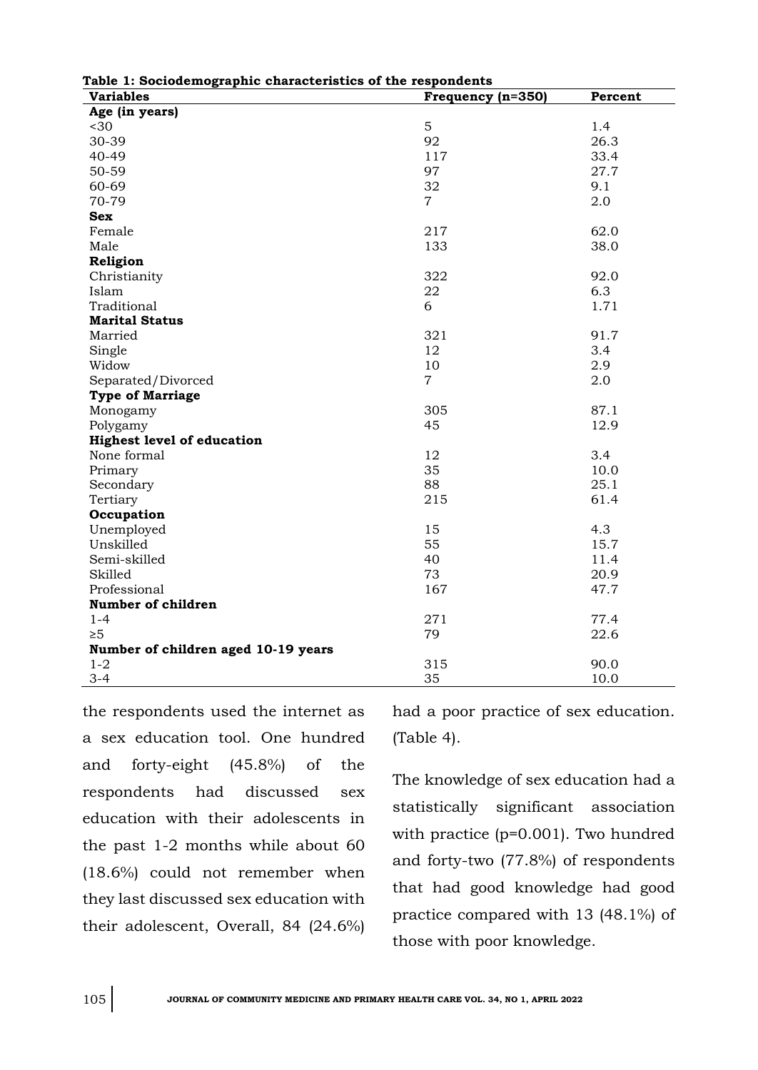| Table 1: Sociodemographic characteristics of the respondents |                   |         |  |  |
|--------------------------------------------------------------|-------------------|---------|--|--|
| <b>Variables</b>                                             | Frequency (n=350) | Percent |  |  |
| Age (in years)                                               |                   |         |  |  |
| $30$                                                         | 5                 | 1.4     |  |  |
| 30-39                                                        | 92                | 26.3    |  |  |
| 40-49                                                        | 117               | 33.4    |  |  |
| 50-59                                                        | 97                | 27.7    |  |  |
| 60-69                                                        | 32                | 9.1     |  |  |
| 70-79                                                        | $\overline{7}$    | 2.0     |  |  |
| <b>Sex</b>                                                   |                   |         |  |  |
| Female                                                       | 217               | 62.0    |  |  |
| Male                                                         | 133               | 38.0    |  |  |
| Religion                                                     |                   |         |  |  |
| Christianity                                                 | 322               | 92.0    |  |  |
| Islam                                                        | 22                | 6.3     |  |  |
| Traditional                                                  | 6                 | 1.71    |  |  |
| <b>Marital Status</b>                                        |                   |         |  |  |
| Married                                                      | 321               | 91.7    |  |  |
| Single                                                       | 12                | 3.4     |  |  |
| Widow                                                        | 10                | 2.9     |  |  |
| Separated/Divorced                                           | $\overline{7}$    | 2.0     |  |  |
| <b>Type of Marriage</b>                                      |                   |         |  |  |
| Monogamy                                                     | 305               | 87.1    |  |  |
| Polygamy                                                     | 45                | 12.9    |  |  |
| <b>Highest level of education</b>                            |                   |         |  |  |
| None formal                                                  | 12                | 3.4     |  |  |
| Primary                                                      | 35                | 10.0    |  |  |
| Secondary                                                    | 88                | 25.1    |  |  |
| Tertiary                                                     | 215               | 61.4    |  |  |
| Occupation                                                   |                   |         |  |  |
| Unemployed                                                   | 15                | 4.3     |  |  |
| Unskilled                                                    | 55                | 15.7    |  |  |
| Semi-skilled                                                 | 40                | 11.4    |  |  |
| Skilled                                                      | 73                | 20.9    |  |  |
| Professional                                                 | 167               | 47.7    |  |  |
| Number of children                                           |                   |         |  |  |
| $1 - 4$                                                      | 271               | 77.4    |  |  |
| $\geq 5$                                                     | 79                | 22.6    |  |  |
| Number of children aged 10-19 years                          |                   |         |  |  |
| $1 - 2$                                                      | 315               | 90.0    |  |  |
| $3 - 4$                                                      | 35                | 10.0    |  |  |

**Table 1: Sociodemographic characteristics of the respondents**

the respondents used the internet as a sex education tool. One hundred and forty-eight (45.8%) of the respondents had discussed sex education with their adolescents in the past 1-2 months while about 60 (18.6%) could not remember when they last discussed sex education with their adolescent, Overall, 84 (24.6%)

had a poor practice of sex education. (Table 4).

The knowledge of sex education had a statistically significant association with practice (p=0.001). Two hundred and forty-two (77.8%) of respondents that had good knowledge had good practice compared with 13 (48.1%) of those with poor knowledge.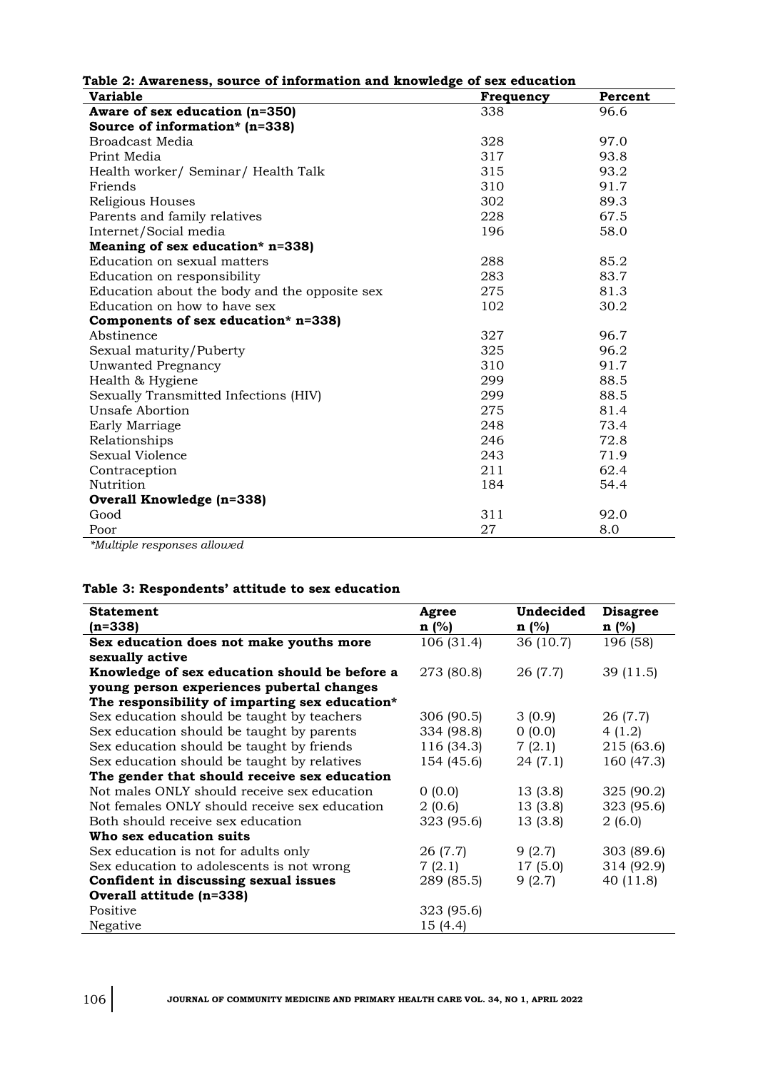| Table 2: Awareness, source of information and knowledge of sex education |                  |         |  |  |
|--------------------------------------------------------------------------|------------------|---------|--|--|
| <b>Variable</b>                                                          | <b>Frequency</b> | Percent |  |  |
| Aware of sex education (n=350)                                           | 338              | 96.6    |  |  |
| Source of information* (n=338)                                           |                  |         |  |  |
| <b>Broadcast Media</b>                                                   | 328              | 97.0    |  |  |
| Print Media                                                              | 317              | 93.8    |  |  |
| Health worker/ Seminar/ Health Talk                                      | 315              | 93.2    |  |  |
| Friends                                                                  | 310              | 91.7    |  |  |
| Religious Houses                                                         | 302              | 89.3    |  |  |
| Parents and family relatives                                             | 228              | 67.5    |  |  |
| Internet/Social media                                                    | 196              | 58.0    |  |  |
| Meaning of sex education* n=338)                                         |                  |         |  |  |
| Education on sexual matters                                              | 288              | 85.2    |  |  |
| Education on responsibility                                              | 283              | 83.7    |  |  |
| Education about the body and the opposite sex                            | 275              | 81.3    |  |  |
| Education on how to have sex                                             | 102              | 30.2    |  |  |
| Components of sex education* n=338)                                      |                  |         |  |  |
| Abstinence                                                               | 327              | 96.7    |  |  |
| Sexual maturity/Puberty                                                  | 325              | 96.2    |  |  |
| Unwanted Pregnancy                                                       | 310              | 91.7    |  |  |
| Health & Hygiene                                                         | 299              | 88.5    |  |  |
| Sexually Transmitted Infections (HIV)                                    | 299              | 88.5    |  |  |
| Unsafe Abortion                                                          | 275              | 81.4    |  |  |
| Early Marriage                                                           | 248              | 73.4    |  |  |
| Relationships                                                            | 246              | 72.8    |  |  |
| <b>Sexual Violence</b>                                                   | 243              | 71.9    |  |  |
| Contraception                                                            | 211              | 62.4    |  |  |
| Nutrition                                                                | 184              | 54.4    |  |  |
| Overall Knowledge (n=338)                                                |                  |         |  |  |
| Good                                                                     | 311              | 92.0    |  |  |
| Poor                                                                     | 27               | 8.0     |  |  |
| $*1L.14.14$                                                              |                  |         |  |  |

*\*Multiple responses allowed*

## **Table 3: Respondents' attitude to sex education**

| <b>Statement</b>                               | Agree      | Undecided | <b>Disagree</b> |
|------------------------------------------------|------------|-----------|-----------------|
| (n=338)                                        | $n$ (%)    | $n$ (%)   | n(%)            |
| Sex education does not make youths more        | 106 (31.4) | 36 (10.7) | 196 (58)        |
| sexually active                                |            |           |                 |
| Knowledge of sex education should be before a  | 273 (80.8) | 26 (7.7)  | 39(11.5)        |
| young person experiences pubertal changes      |            |           |                 |
| The responsibility of imparting sex education* |            |           |                 |
| Sex education should be taught by teachers     | 306 (90.5) | 3(0.9)    | 26 (7.7)        |
| Sex education should be taught by parents      | 334 (98.8) | 0(0.0)    | 4(1.2)          |
| Sex education should be taught by friends      | 116 (34.3) | 7(2.1)    | 215 (63.6)      |
| Sex education should be taught by relatives    | 154 (45.6) | 24(7.1)   | 160 (47.3)      |
| The gender that should receive sex education   |            |           |                 |
| Not males ONLY should receive sex education    | 0(0.0)     | 13(3.8)   | 325(90.2)       |
| Not females ONLY should receive sex education  | 2(0.6)     | 13(3.8)   | 323 (95.6)      |
| Both should receive sex education              | 323 (95.6) | 13(3.8)   | 2(6.0)          |
| Who sex education suits                        |            |           |                 |
| Sex education is not for adults only           | 26 (7.7)   | 9(2.7)    | 303 (89.6)      |
| Sex education to adolescents is not wrong      | 7(2.1)     | 17(5.0)   | 314 (92.9)      |
| Confident in discussing sexual issues          | 289 (85.5) | 9(2.7)    | 40(11.8)        |
| Overall attitude (n=338)                       |            |           |                 |
| Positive                                       | 323 (95.6) |           |                 |
| Negative                                       | 15(4.4)    |           |                 |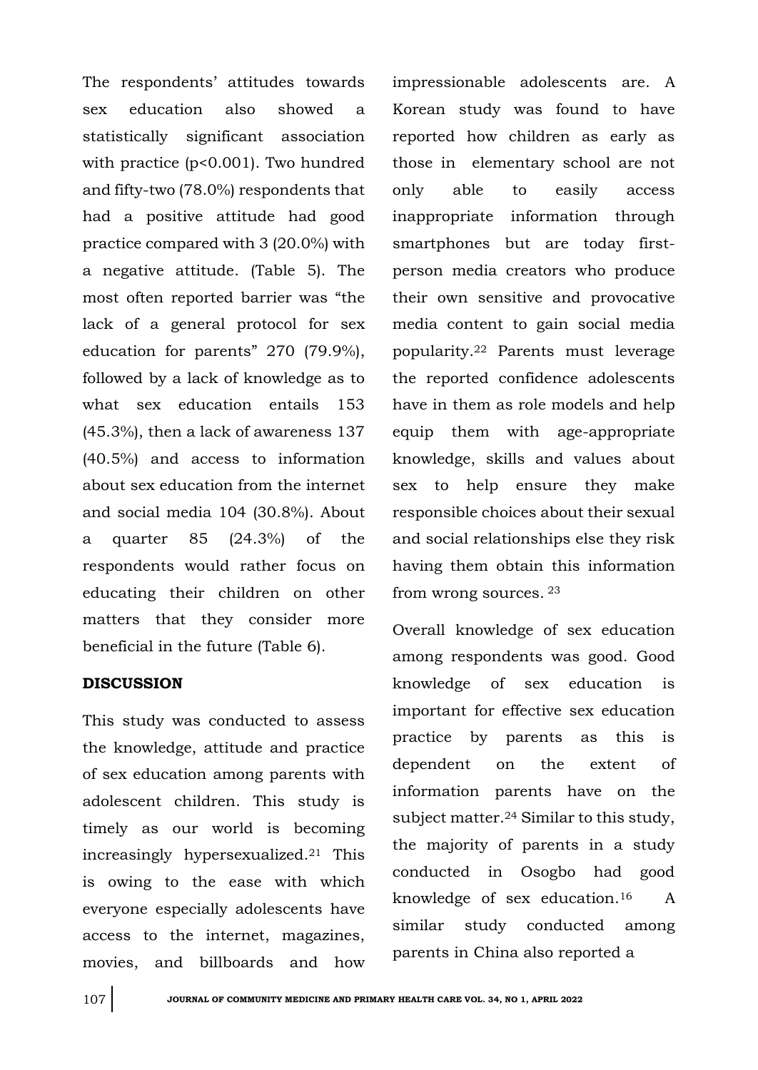The respondents' attitudes towards sex education also showed a statistically significant association with practice (p<0.001). Two hundred and fifty-two (78.0%) respondents that had a positive attitude had good practice compared with 3 (20.0%) with a negative attitude. (Table 5). The most often reported barrier was "the lack of a general protocol for sex education for parents" 270 (79.9%), followed by a lack of knowledge as to what sex education entails 153 (45.3%), then a lack of awareness 137 (40.5%) and access to information about sex education from the internet and social media 104 (30.8%). About a quarter 85 (24.3%) of the respondents would rather focus on educating their children on other matters that they consider more beneficial in the future (Table 6).

## **DISCUSSION**

This study was conducted to assess the knowledge, attitude and practice of sex education among parents with adolescent children. This study is timely as our world is becoming increasingly hypersexualized.<sup>21</sup> This is owing to the ease with which everyone especially adolescents have access to the internet, magazines, movies, and billboards and how

impressionable adolescents are. A Korean study was found to have reported how children as early as those in elementary school are not only able to easily access inappropriate information through smartphones but are today firstperson media creators who produce their own sensitive and provocative media content to gain social media popularity.<sup>22</sup> Parents must leverage the reported confidence adolescents have in them as role models and help equip them with age-appropriate knowledge, skills and values about sex to help ensure they make responsible choices about their sexual and social relationships else they risk having them obtain this information from wrong sources. <sup>23</sup>

Overall knowledge of sex education among respondents was good. Good knowledge of sex education is important for effective sex education practice by parents as this is dependent on the extent of information parents have on the subject matter.<sup>24</sup> Similar to this study, the majority of parents in a study conducted in Osogbo had good knowledge of sex education.16 A similar study conducted among parents in China also reported a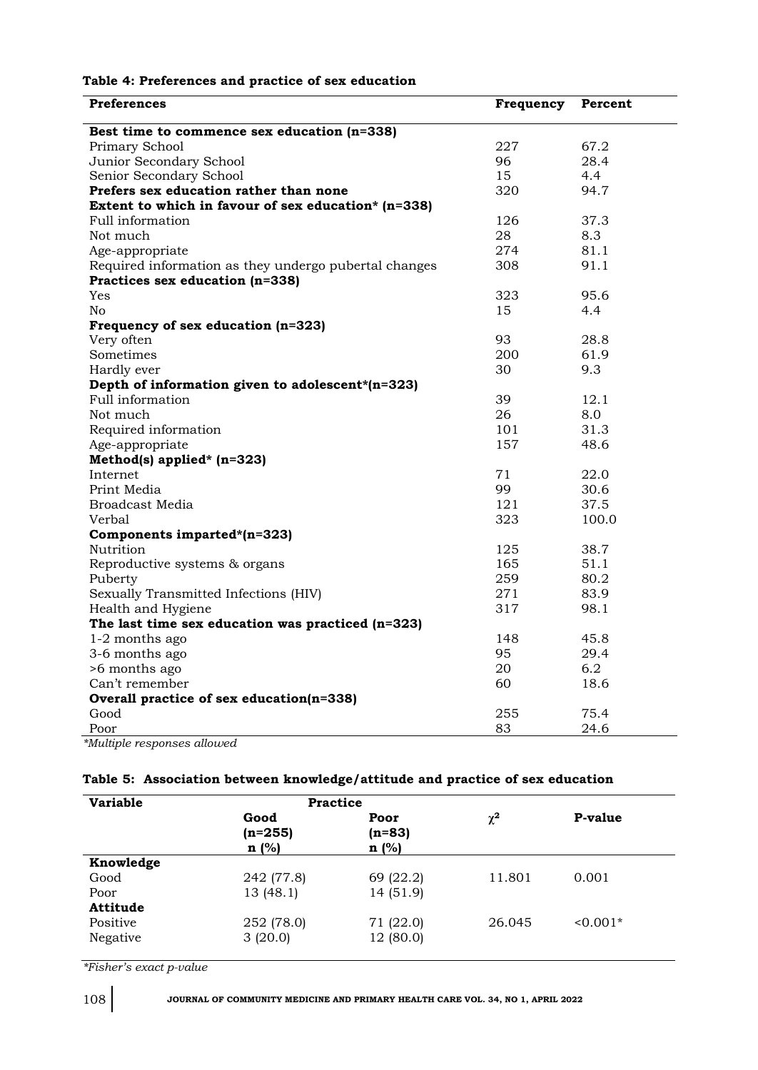|  | Table 4: Preferences and practice of sex education |
|--|----------------------------------------------------|
|--|----------------------------------------------------|

| <b>Preferences</b>                                    | Frequency | Percent |
|-------------------------------------------------------|-----------|---------|
| Best time to commence sex education (n=338)           |           |         |
| Primary School                                        | 227       | 67.2    |
| Junior Secondary School                               | 96        | 28.4    |
| Senior Secondary School                               | 15        | 4.4     |
| Prefers sex education rather than none                | 320       | 94.7    |
| Extent to which in favour of sex education* $(n=338)$ |           |         |
| Full information                                      | 126       | 37.3    |
| Not much                                              | 28        | 8.3     |
| Age-appropriate                                       | 274       | 81.1    |
| Required information as they undergo pubertal changes | 308       | 91.1    |
| Practices sex education (n=338)                       |           |         |
| Yes                                                   | 323       | 95.6    |
| No                                                    | 15        | 4.4     |
| Frequency of sex education (n=323)                    |           |         |
| Very often                                            | 93        | 28.8    |
| Sometimes                                             | 200       | 61.9    |
| Hardly ever                                           | 30        | 9.3     |
| Depth of information given to adolescent*(n=323)      |           |         |
| Full information                                      | 39        | 12.1    |
| Not much                                              | 26        | 8.0     |
| Required information                                  | 101       | 31.3    |
| Age-appropriate                                       | 157       | 48.6    |
| Method(s) applied* $(n=323)$                          |           |         |
| Internet                                              | 71        | 22.0    |
| Print Media                                           | 99        | 30.6    |
| <b>Broadcast Media</b>                                | 121       | 37.5    |
| Verbal                                                | 323       | 100.0   |
| Components imparted*(n=323)                           |           |         |
| Nutrition                                             | 125       | 38.7    |
| Reproductive systems & organs                         | 165       | 51.1    |
| Puberty                                               | 259       | 80.2    |
| Sexually Transmitted Infections (HIV)                 | 271       | 83.9    |
| Health and Hygiene                                    | 317       | 98.1    |
| The last time sex education was practiced $(n=323)$   |           |         |
| 1-2 months ago                                        | 148       | 45.8    |
| 3-6 months ago                                        | 95        | 29.4    |
| >6 months ago                                         | 20        | 6.2     |
| Can't remember                                        | 60        | 18.6    |
| Overall practice of sex education(n=338)              |           |         |
| Good                                                  | 255       | 75.4    |
| Poor                                                  | 83        | 24.6    |

## **Table 5: Association between knowledge/attitude and practice of sex education**

| <b>Variable</b> | <b>Practice</b>           |                          |          |          |
|-----------------|---------------------------|--------------------------|----------|----------|
|                 | Good<br>$(n=255)$<br>n(%) | Poor<br>$(n=83)$<br>n(%) | $\chi^2$ | P-value  |
| Knowledge       |                           |                          |          |          |
| Good            | 242 (77.8)                | 69 (22.2)                | 11.801   | 0.001    |
| Poor            | 13 (48.1)                 | 14 (51.9)                |          |          |
| Attitude        |                           |                          |          |          |
| Positive        | 252 (78.0)                | 71 (22.0)                | 26.045   | $0.001*$ |
| Negative        | 3(20.0)                   | 12 (80.0)                |          |          |

*\*Fisher's exact p-value*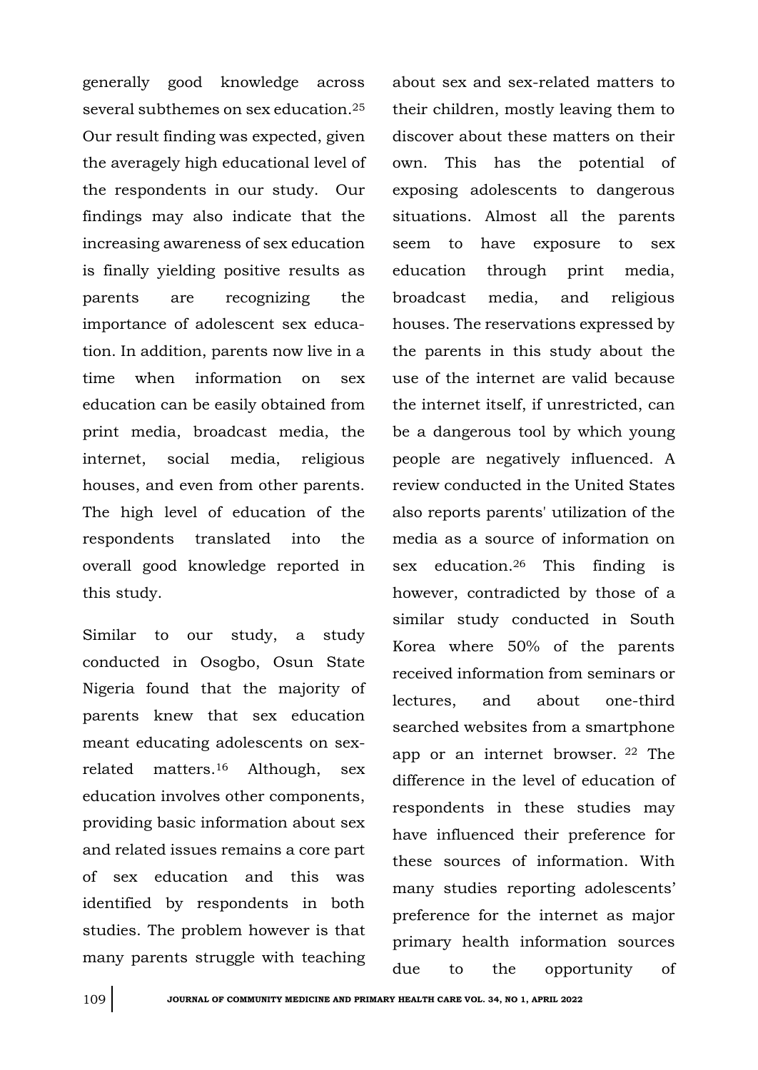generally good knowledge across several subthemes on sex education.<sup>25</sup> Our result finding was expected, given the averagely high educational level of the respondents in our study. Our findings may also indicate that the increasing awareness of sex education is finally yielding positive results as parents are recognizing the importance of adolescent sex education. In addition, parents now live in a time when information on sex education can be easily obtained from print media, broadcast media, the internet, social media, religious houses, and even from other parents. The high level of education of the respondents translated into the overall good knowledge reported in this study.

Similar to our study, a study conducted in Osogbo, Osun State Nigeria found that the majority of parents knew that sex education meant educating adolescents on sexrelated matters.<sup>16</sup> Although, sex education involves other components, providing basic information about sex and related issues remains a core part of sex education and this was identified by respondents in both studies. The problem however is that many parents struggle with teaching

about sex and sex-related matters to their children, mostly leaving them to discover about these matters on their own. This has the potential of exposing adolescents to dangerous situations. Almost all the parents seem to have exposure to sex education through print media, broadcast media, and religious houses. The reservations expressed by the parents in this study about the use of the internet are valid because the internet itself, if unrestricted, can be a dangerous tool by which young people are negatively influenced. A review conducted in the United States also reports parents' utilization of the media as a source of information on sex education.<sup>26</sup> This finding is however, contradicted by those of a similar study conducted in South Korea where 50% of the parents received information from seminars or lectures, and about one-third searched websites from a smartphone app or an internet browser. <sup>22</sup> The difference in the level of education of respondents in these studies may have influenced their preference for these sources of information. With many studies reporting adolescents' preference for the internet as major primary health information sources due to the opportunity of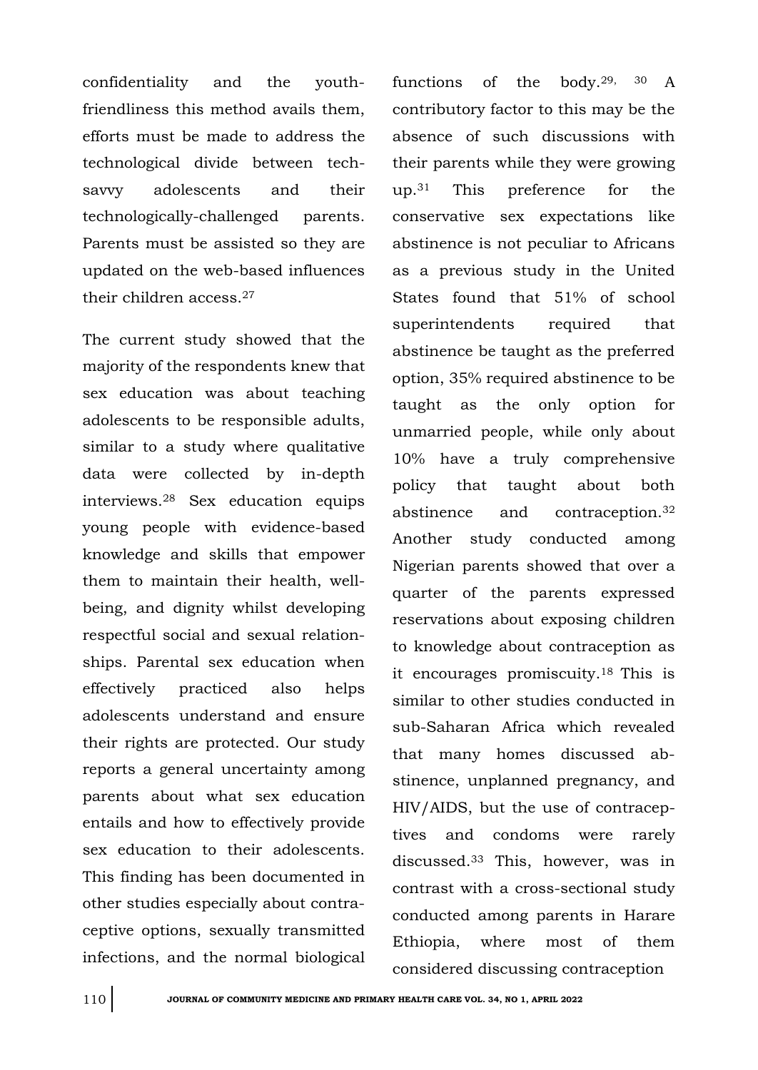confidentiality and the youthfriendliness this method avails them, efforts must be made to address the technological divide between techsavvy adolescents and their technologically-challenged parents. Parents must be assisted so they are updated on the web-based influences their children access.<sup>27</sup>

The current study showed that the majority of the respondents knew that sex education was about teaching adolescents to be responsible adults, similar to a study where qualitative data were collected by in-depth interviews.<sup>28</sup> Sex education equips young people with evidence-based knowledge and skills that empower them to maintain their health, wellbeing, and dignity whilst developing respectful social and sexual relationships. Parental sex education when effectively practiced also helps adolescents understand and ensure their rights are protected. Our study reports a general uncertainty among parents about what sex education entails and how to effectively provide sex education to their adolescents. This finding has been documented in other studies especially about contraceptive options, sexually transmitted infections, and the normal biological

functions of the body.29, 30 A contributory factor to this may be the absence of such discussions with their parents while they were growing up.<sup>31</sup> This preference for the conservative sex expectations like abstinence is not peculiar to Africans as a previous study in the United States found that 51% of school superintendents required that abstinence be taught as the preferred option, 35% required abstinence to be taught as the only option for unmarried people, while only about 10% have a truly comprehensive policy that taught about both abstinence and contraception.<sup>32</sup> Another study conducted among Nigerian parents showed that over a quarter of the parents expressed reservations about exposing children to knowledge about contraception as it encourages promiscuity.18 This is similar to other studies conducted in sub-Saharan Africa which revealed that many homes discussed abstinence, unplanned pregnancy, and HIV/AIDS, but the use of contraceptives and condoms were rarely discussed.<sup>33</sup> This, however, was in contrast with a cross-sectional study conducted among parents in Harare Ethiopia, where most of them considered discussing contraception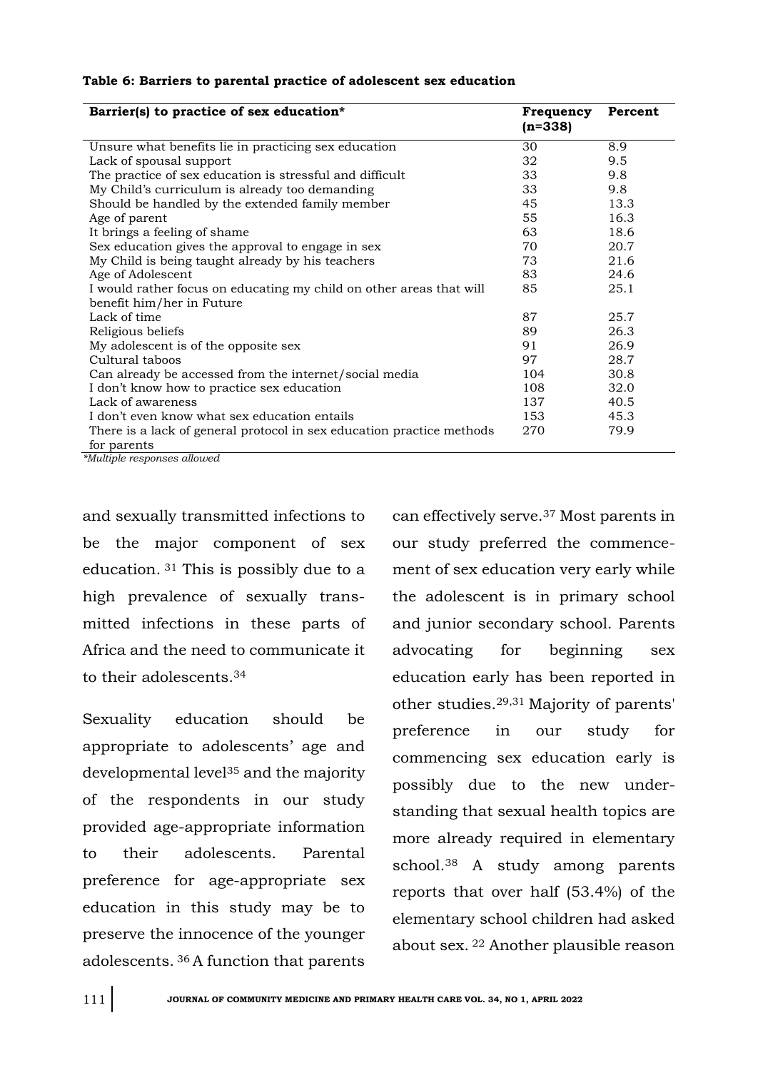| Table 6: Barriers to parental practice of adolescent sex education |
|--------------------------------------------------------------------|
|--------------------------------------------------------------------|

| Barrier(s) to practice of sex education*                              | Frequency<br>$(n=338)$ | Percent |
|-----------------------------------------------------------------------|------------------------|---------|
| Unsure what benefits lie in practicing sex education                  | 30                     | 8.9     |
| Lack of spousal support                                               | 32                     | 9.5     |
| The practice of sex education is stressful and difficult              | 33                     | 9.8     |
| My Child's curriculum is already too demanding                        | 33                     | 9.8     |
| Should be handled by the extended family member                       | 45                     | 13.3    |
| Age of parent                                                         | 55                     | 16.3    |
| It brings a feeling of shame                                          | 63                     | 18.6    |
| Sex education gives the approval to engage in sex                     | 70                     | 20.7    |
| My Child is being taught already by his teachers                      | 73                     | 21.6    |
| Age of Adolescent                                                     | 83                     | 24.6    |
| I would rather focus on educating my child on other areas that will   | 85                     | 25.1    |
| benefit him/her in Future                                             |                        |         |
| Lack of time                                                          | 87                     | 25.7    |
| Religious beliefs                                                     | 89                     | 26.3    |
| My adolescent is of the opposite sex                                  | 91                     | 26.9    |
| Cultural taboos                                                       | 97                     | 28.7    |
| Can already be accessed from the internet/social media                | 104                    | 30.8    |
| I don't know how to practice sex education                            | 108                    | 32.0    |
| Lack of awareness                                                     | 137                    | 40.5    |
| I don't even know what sex education entails                          | 153                    | 45.3    |
| There is a lack of general protocol in sex education practice methods | 270                    | 79.9    |
| for parents<br>$\sim$<br>$\sim$                                       |                        |         |

*\*Multiple responses allowed*

and sexually transmitted infections to be the major component of sex education. <sup>31</sup> This is possibly due to a high prevalence of sexually transmitted infections in these parts of Africa and the need to communicate it to their adolescents.<sup>34</sup>

Sexuality education should be appropriate to adolescents' age and developmental level<sup>35</sup> and the majority of the respondents in our study provided age-appropriate information to their adolescents. Parental preference for age-appropriate sex education in this study may be to preserve the innocence of the younger adolescents. <sup>36</sup>A function that parents

can effectively serve.<sup>37</sup> Most parents in our study preferred the commencement of sex education very early while the adolescent is in primary school and junior secondary school. Parents advocating for beginning sex education early has been reported in other studies.29,31 Majority of parents' preference in our study for commencing sex education early is possibly due to the new understanding that sexual health topics are more already required in elementary school.<sup>38</sup> A study among parents reports that over half (53.4%) of the elementary school children had asked about sex. <sup>22</sup> Another plausible reason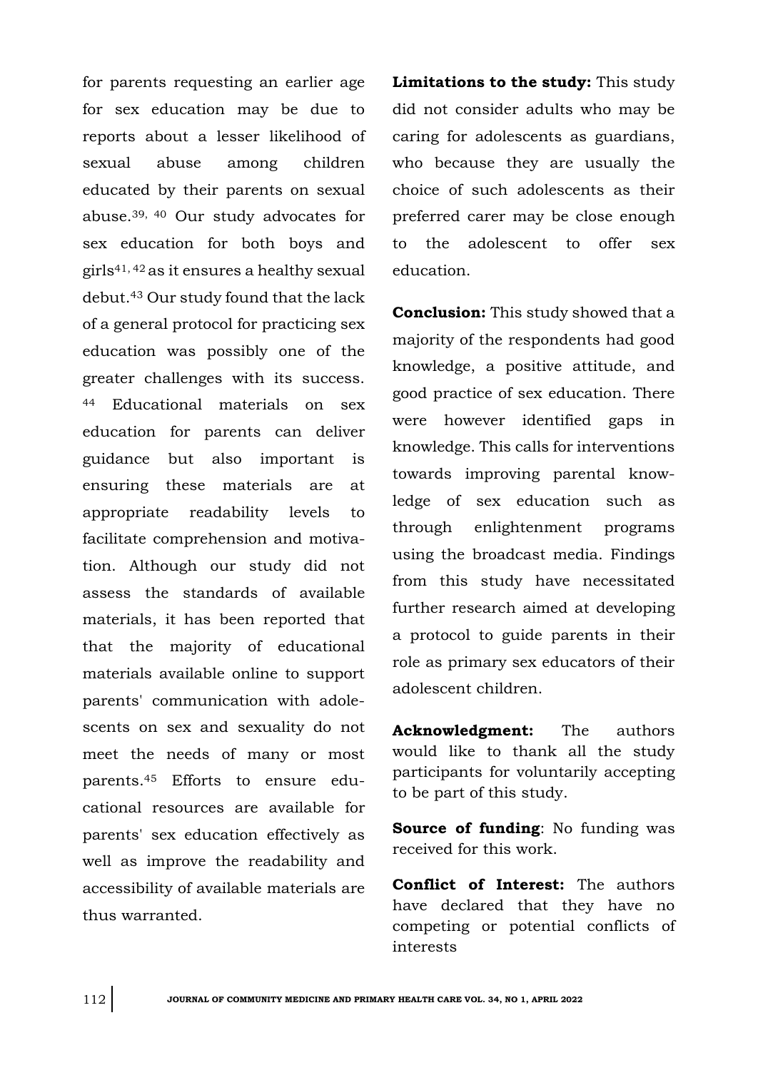for parents requesting an earlier age for sex education may be due to reports about a lesser likelihood of sexual abuse among children educated by their parents on sexual abuse.39, 40 Our study advocates for sex education for both boys and girls41, 42 as it ensures a healthy sexual debut.<sup>43</sup> Our study found that the lack of a general protocol for practicing sex education was possibly one of the greater challenges with its success. <sup>44</sup> Educational materials on sex education for parents can deliver guidance but also important is ensuring these materials are at appropriate readability levels to facilitate comprehension and motivation. Although our study did not assess the standards of available materials, it has been reported that that the majority of educational materials available online to support parents' communication with adolescents on sex and sexuality do not meet the needs of many or most parents.<sup>45</sup> Efforts to ensure educational resources are available for parents' sex education effectively as well as improve the readability and accessibility of available materials are thus warranted.

**Limitations to the study:** This study did not consider adults who may be caring for adolescents as guardians, who because they are usually the choice of such adolescents as their preferred carer may be close enough to the adolescent to offer sex education.

**Conclusion:** This study showed that a majority of the respondents had good knowledge, a positive attitude, and good practice of sex education. There were however identified gaps in knowledge. This calls for interventions towards improving parental knowledge of sex education such as through enlightenment programs using the broadcast media. Findings from this study have necessitated further research aimed at developing a protocol to guide parents in their role as primary sex educators of their adolescent children.

**Acknowledgment:** The authors would like to thank all the study participants for voluntarily accepting to be part of this study.

**Source of funding**: No funding was received for this work.

**Conflict of Interest:** The authors have declared that they have no competing or potential conflicts of interests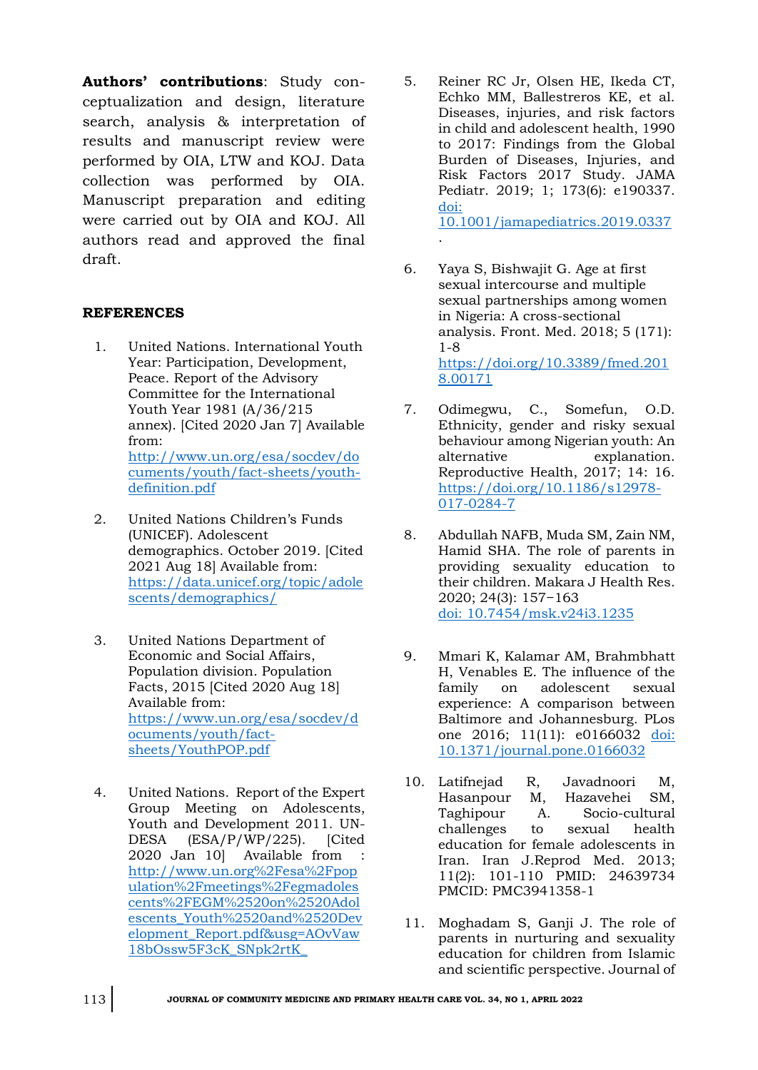**Authors' contributions**: Study conceptualization and design, literature search, analysis & interpretation of results and manuscript review were performed by OIA, LTW and KOJ. Data collection was performed by OIA. Manuscript preparation and editing were carried out by OIA and KOJ. All authors read and approved the final draft.

## **REFERENCES**

- 1. United Nations. International Youth Year: Participation, Development, Peace. Report of the Advisory Committee for the International Youth Year 1981 (A/36/215 annex). [Cited 2020 Jan 7] Available from: [http://www.un.org/esa/socdev/do](http://www.un.org/esa/socdev/documents/youth/fact-sheets/youth-definition.pdf) [cuments/youth/fact-sheets/youth](http://www.un.org/esa/socdev/documents/youth/fact-sheets/youth-definition.pdf)[definition.pdf](http://www.un.org/esa/socdev/documents/youth/fact-sheets/youth-definition.pdf)
- 2. United Nations Children's Funds (UNICEF). Adolescent demographics. October 2019. [Cited 2021 Aug 18] Available from: [https://data.unicef.org/topic/adole](file:///C:/Users/IFEANYI/Downloads/https/data.unicef.org/topic/adolescents/demographics/) [scents/demographics/](file:///C:/Users/IFEANYI/Downloads/https/data.unicef.org/topic/adolescents/demographics/)
- 3. United Nations Department of Economic and Social Affairs, Population division. Population Facts, 2015 [Cited 2020 Aug 18] Available from: [https://www.un.org/esa/socdev/d](https://www.un.org/esa/socdev/documents/youth/fact-sheets/YouthPOP.pdf) [ocuments/youth/fact](https://www.un.org/esa/socdev/documents/youth/fact-sheets/YouthPOP.pdf)[sheets/YouthPOP.pdf](https://www.un.org/esa/socdev/documents/youth/fact-sheets/YouthPOP.pdf)
- 4. United Nations. Report of the Expert Group Meeting on Adolescents, Youth and Development 2011. UN-DESA (ESA/P/WP/225). [Cited 2020 Jan 10] Available from : http://www.un.org%2Fesa%2Fpop ulation%2Fmeetings%2Fegmadoles cents%2FEGM%2520on%2520Adol escents\_Youth%2520and%2520Dev elopment\_Report.pdf&usg=AOvVaw 18bOssw5F3cK\_SNpk2rtK\_
- 5. Reiner RC Jr, Olsen HE, Ikeda CT, Echko MM, Ballestreros KE, et al. Diseases, injuries, and risk factors in child and adolescent health, 1990 to 2017: Findings from the Global Burden of Diseases, Injuries, and Risk Factors 2017 Study. JAMA Pediatr. 2019; 1; 173(6): e190337. [doi:](doi:%2010.1001/jamapediatrics.2019.0337)  [10.1001/jamapediatrics.2019.0337](doi:%2010.1001/jamapediatrics.2019.0337)
- 6. Yaya S, Bishwajit G. Age at first sexual intercourse and multiple sexual partnerships among women in Nigeria: A cross-sectional analysis. Front. Med. 2018; 5 (171): 1-8 [https://doi.org/10.3389/fmed.201](https://doi.org/10.3389/fmed.2018.00171) [8.00171](https://doi.org/10.3389/fmed.2018.00171)

.

- 7. Odimegwu, C., Somefun, O.D. Ethnicity, gender and risky sexual behaviour among Nigerian youth: An alternative explanation. Reproductive Health, 2017; 14: 16. [https://doi.org/10.1186/s12978-](https://doi.org/10.1186/s12978-017-0284-7) [017-0284-7](https://doi.org/10.1186/s12978-017-0284-7)
- 8. Abdullah NAFB, Muda SM, Zain NM, Hamid SHA. The role of parents in providing sexuality education to their children. Makara J Health Res. 2020; 24(3): 157−163 [doi: 10.7454/msk.v24i3.1235](doi:%2010.7454/msk.v24i3.1235)
- 9. Mmari K, Kalamar AM, Brahmbhatt H, Venables E. The influence of the family on adolescent sexual experience: A comparison between Baltimore and Johannesburg. PLos one 2016; 11(11): e0166032 [doi:](doi:%2010.1371/journal.pone.0166032)  [10.1371/journal.pone.0166032](doi:%2010.1371/journal.pone.0166032)
- 10. Latifnejad R, Javadnoori M, Hasanpour M, Hazavehei SM, Taghipour A. Socio-cultural challenges to sexual health education for female adolescents in Iran. Iran J.Reprod Med. 2013; 11(2): 101-110 PMID: 24639734 PMCID: PMC3941358-1
- 11. Moghadam S, Ganji J. The role of parents in nurturing and sexuality education for children from Islamic and scientific perspective. Journal of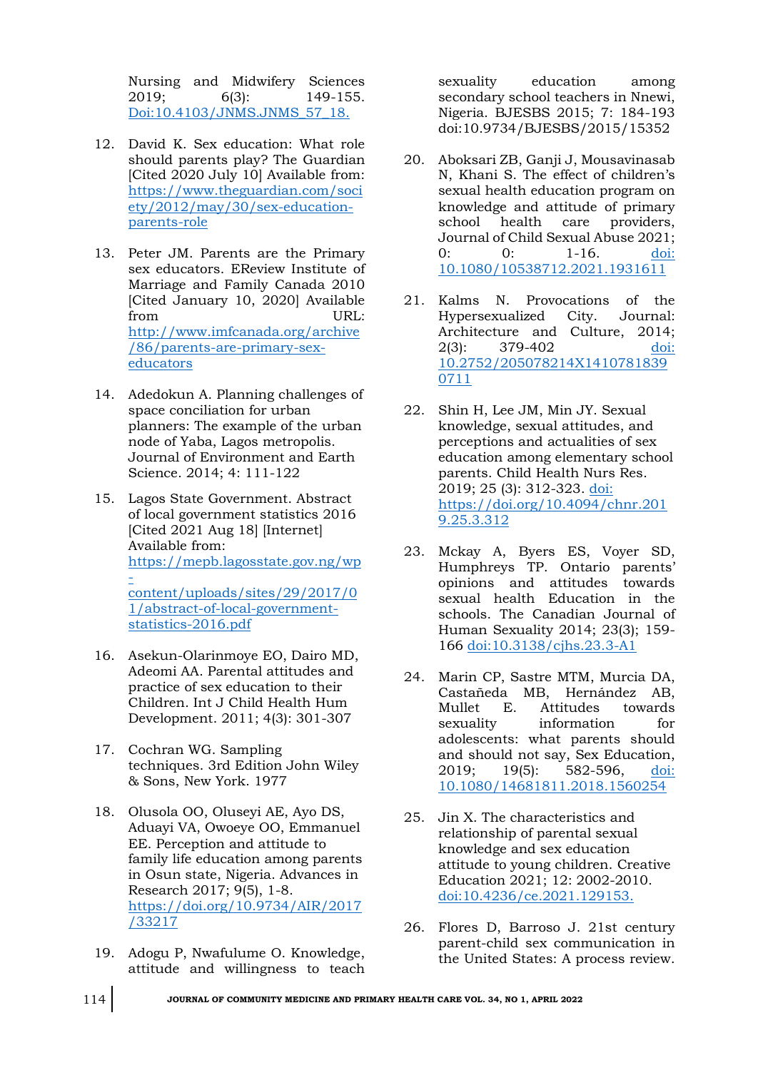Nursing and Midwifery Sciences 2019; 6(3): 149-155. [Doi:10.4103/JNMS.JNMS\\_57\\_18.](doi:10.4103/JNMS.JNMS_57_18.)

- 12. David K. Sex education: What role should parents play? The Guardian [Cited 2020 July 10] Available from: [https://www.theguardian.com/soci](https://www.theguardian.com/society/2012/may/30/sex-education-parents-role) [ety/2012/may/30/sex-education](https://www.theguardian.com/society/2012/may/30/sex-education-parents-role)[parents-role](https://www.theguardian.com/society/2012/may/30/sex-education-parents-role)
- 13. Peter JM. Parents are the Primary sex educators. EReview Institute of Marriage and Family Canada 2010 [Cited January 10, 2020] Available from URL: [http://www.imfcanada.org/archive](http://www.imfcanada.org/archive/86/parents-are-primary-sex-educators) [/86/parents-are-primary-sex](http://www.imfcanada.org/archive/86/parents-are-primary-sex-educators)[educators](http://www.imfcanada.org/archive/86/parents-are-primary-sex-educators)
- 14. Adedokun A. Planning challenges of space conciliation for urban planners: The example of the urban node of Yaba, Lagos metropolis. Journal of Environment and Earth Science. 2014; 4: 111-122
- 15. Lagos State Government. Abstract of local government statistics 2016 [Cited 2021 Aug 18] [Internet] Available from: [https://mepb.lagosstate.gov.ng/wp](https://mepb.lagosstate.gov.ng/wp-content/uploads/sites/29/2017/01/ABSTRACT-OF-LOCAL-GOVERNMENT-STATISTICS-2016.pdf)  [content/uploads/sites/29/2017/0](https://mepb.lagosstate.gov.ng/wp-content/uploads/sites/29/2017/01/ABSTRACT-OF-LOCAL-GOVERNMENT-STATISTICS-2016.pdf) [1/abstract-of-local-government](https://mepb.lagosstate.gov.ng/wp-content/uploads/sites/29/2017/01/ABSTRACT-OF-LOCAL-GOVERNMENT-STATISTICS-2016.pdf)[statistics-2016.pdf](https://mepb.lagosstate.gov.ng/wp-content/uploads/sites/29/2017/01/ABSTRACT-OF-LOCAL-GOVERNMENT-STATISTICS-2016.pdf)
- 16. Asekun-Olarinmoye EO, Dairo MD, Adeomi AA. Parental attitudes and practice of sex education to their Children. Int J Child Health Hum Development. 2011; 4(3): 301-307
- 17. Cochran WG. Sampling techniques. 3rd Edition John Wiley & Sons, New York. 1977
- 18. Olusola OO, Oluseyi AE, Ayo DS, Aduayi VA, Owoeye OO, Emmanuel EE. Perception and attitude to family life education among parents in Osun state, Nigeria. Advances in Research 2017; 9(5), 1-8. [https://doi.org/10.9734/AIR/2017](https://doi.org/10.9734/AIR/2017/33217) [/33217](https://doi.org/10.9734/AIR/2017/33217)
- 19. Adogu P, Nwafulume O. Knowledge, attitude and willingness to teach

sexuality education among secondary school teachers in Nnewi, Nigeria. BJESBS 2015; 7: 184-193 doi[:10.9734/BJESBS/2015/15352](http://dx.doi.org/10.9734/BJESBS/2015/15352)

- 20. Aboksari ZB, Ganji J, Mousavinasab N, Khani S. The effect of children's sexual health education program on knowledge and attitude of primary school health care providers, Journal of Child Sexual Abuse 2021; 0: 0: 1-16. doi: [10.1080/10538712.2021.1931611](doi:%2010.1080/10538712.2021.1931611)
- 21. Kalms N. Provocations of the Hypersexualized City. Journal: Architecture and Culture, 2014; 2(3): 379-402 [doi:](doi:%2010.2752/205078214X14107818390711)  [10.2752/205078214X1410781839](doi:%2010.2752/205078214X14107818390711) [0711](doi:%2010.2752/205078214X14107818390711)
- 22. Shin H, Lee JM, Min JY. Sexual knowledge, sexual attitudes, and perceptions and actualities of sex education among elementary school parents. Child Health Nurs Res. 2019; 25 (3): 312-323. [doi:](doi:%20https://doi.org/10.4094/chnr.2019.25.3.312)  [https://doi.org/10.4094/chnr.201](doi:%20https://doi.org/10.4094/chnr.2019.25.3.312) [9.25.3.312](doi:%20https://doi.org/10.4094/chnr.2019.25.3.312)
- 23. Mckay A, Byers ES, Voyer SD, Humphreys TP. Ontario parents' opinions and attitudes towards sexual health Education in the schools. The Canadian Journal of Human Sexuality 2014; 23(3); 159- 166<doi:10.3138/cjhs.23.3-A1>
- 24. Marin CP, Sastre MTM, Murcia DA, Castañeda MB, Hernández AB, Mullet E. Attitudes towards sexuality information for adolescents: what parents should and should not say, Sex Education, 2019; 19(5): 582-596, doi: [10.1080/14681811.2018.1560254](doi:%2010.1080/14681811.2018.1560254)
- 25. Jin X. The characteristics and relationship of parental sexual knowledge and sex education attitude to young children. Creative Education 2021; 12: 2002-2010. <doi:10.4236/ce.2021.129153.>
- 26. Flores D, Barroso J. 21st century parent-child sex communication in the United States: A process review.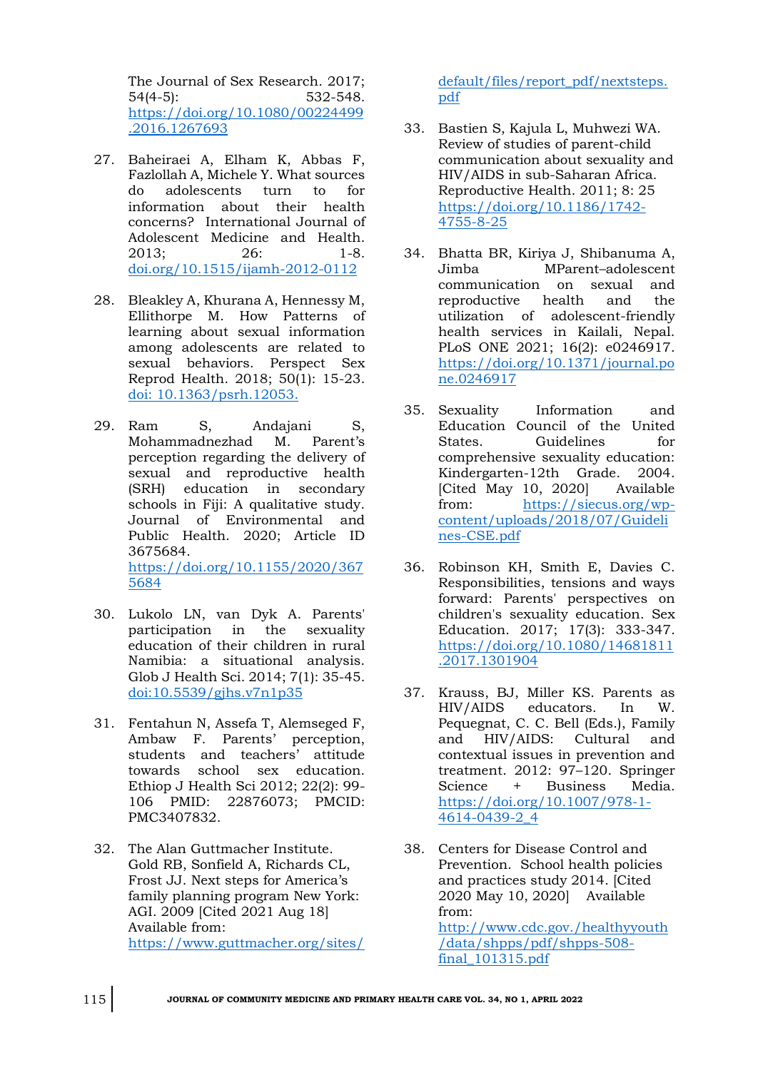The Journal of Sex Research. 2017; 54(4-5): 532-548. [https://doi.org/10.1080/00224499](https://doi.org/10.1080/00224499.2016.1267693) [.2016.1267693](https://doi.org/10.1080/00224499.2016.1267693)

- 27. Baheiraei A, Elham K, Abbas F, Fazlollah A, Michele Y. What sources do adolescents turn to for information about their health concerns? International Journal of Adolescent Medicine and Health. 2013; 26: 1-8. [doi.org/10.1515/ijamh-2012-0112](file:///C:/Users/Dr%20Omuemu/Desktop/for%20printing/Undergrad%20lect%202022/JCMPHC%2034(1)%20April%202022/doi.org/10.1515/ijamh-2012-0112)
- 28. Bleakley A, Khurana A, Hennessy M, Ellithorpe M. How Patterns of learning about sexual information among adolescents are related to sexual behaviors. Perspect Sex Reprod Health. 2018; 50(1): 15-23. [doi: 10.1363/psrh.12053.](doi:%2010.1363/psrh.12053.)
- 29. Ram S, Andajani S, Mohammadnezhad M. Parent's perception regarding the delivery of sexual and reproductive health (SRH) education in secondary schools in Fiji: A qualitative study. Journal of Environmental and Public Health. 2020; Article ID 3675684.

[https://doi.org/10.1155/2020/367](https://doi.org/10.1155/2020/3675684) [5684](https://doi.org/10.1155/2020/3675684)

- 30. Lukolo LN, van Dyk A. Parents' participation in the sexuality education of their children in rural Namibia: a situational analysis. Glob J Health Sci. 2014; 7(1): 35-45. <doi:10.5539/gjhs.v7n1p35>
- 31. Fentahun N, Assefa T, Alemseged F, Ambaw F. Parents' perception, students and teachers' attitude towards school sex education. Ethiop J Health Sci 2012; 22(2): 99- 106 PMID: 22876073; PMCID: PMC3407832.
- 32. The Alan Guttmacher Institute. Gold RB, Sonfield A, Richards CL, Frost JJ. Next steps for America's family planning program New York: AGI. 2009 [Cited 2021 Aug 18] Available from: [https://www.guttmacher.org/sites/](https://www.guttmacher.org/sites/default/files/report_pdf/nextsteps.pdf)

[default/files/report\\_pdf/nextsteps.](https://www.guttmacher.org/sites/default/files/report_pdf/nextsteps.pdf) [pdf](https://www.guttmacher.org/sites/default/files/report_pdf/nextsteps.pdf)

- 33. Bastien S, Kajula L, Muhwezi WA. Review of studies of parent-child communication about sexuality and HIV/AIDS in sub-Saharan Africa. Reproductive Health. 2011; 8: 25 [https://doi.org/10.1186/1742-](https://doi.org/10.1186/1742-4755-8-25) [4755-8-25](https://doi.org/10.1186/1742-4755-8-25)
- 34. Bhatta BR, Kiriya J, Shibanuma A, Jimba MParent–adolescent communication on sexual and reproductive health and the utilization of adolescent-friendly health services in Kailali, Nepal. PLoS ONE 2021; 16(2): e0246917. [https://doi.org/10.1371/journal.po](https://doi.org/10.1371/journal.pone.0246917) [ne.0246917](https://doi.org/10.1371/journal.pone.0246917)
- 35. Sexuality Information and Education Council of the United States. Guidelines for comprehensive sexuality education: Kindergarten-12th Grade. 2004. [Cited May 10, 2020] Available from: [https://siecus.org/wp](https://siecus.org/wp-content/uploads/2018/07/Guidelines-CSE.pdf)[content/uploads/2018/07/Guideli](https://siecus.org/wp-content/uploads/2018/07/Guidelines-CSE.pdf) [nes-CSE.pdf](https://siecus.org/wp-content/uploads/2018/07/Guidelines-CSE.pdf)
- 36. Robinson KH, Smith E, Davies C. Responsibilities, tensions and ways forward: Parents' perspectives on children's sexuality education. Sex Education. 2017; 17(3): 333-347. [https://doi.org/10.1080/14681811](https://doi.org/10.1080/14681811.2017.1301904) [.2017.1301904](https://doi.org/10.1080/14681811.2017.1301904)
- 37. Krauss, BJ, Miller KS. Parents as HIV/AIDS educators. In W. Pequegnat, C. C. Bell (Eds.), Family and HIV/AIDS: Cultural and contextual issues in prevention and treatment. 2012: 97-120. Springer<br>Science + Business Media. Science + Business [https://doi.org/10.1007/978-1-](https://doi.org/10.1007/978-1-4614-0439-2_4) [4614-0439-2\\_4](https://doi.org/10.1007/978-1-4614-0439-2_4)
- 38. Centers for Disease Control and Prevention. School health policies and practices study 2014. [Cited 2020 May 10, 2020] Available from: [http://www.cdc.gov./healthyyouth](http://www.cdc.gov./healthyyouth/data/shpps/pdf/shpps-508-final_101315.pdf) [/data/shpps/pdf/shpps-508](http://www.cdc.gov./healthyyouth/data/shpps/pdf/shpps-508-final_101315.pdf) [final\\_101315.pdf](http://www.cdc.gov./healthyyouth/data/shpps/pdf/shpps-508-final_101315.pdf)